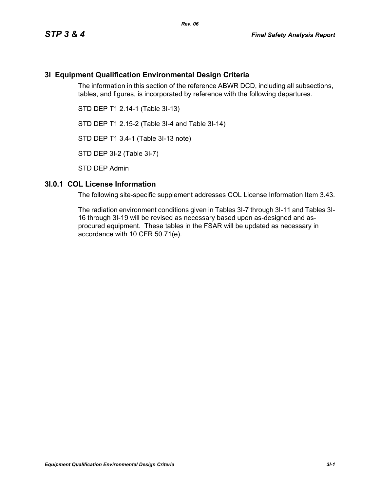# **3I Equipment Qualification Environmental Design Criteria**

The information in this section of the reference ABWR DCD, including all subsections, tables, and figures, is incorporated by reference with the following departures.

STD DEP T1 2.14-1 (Table 3I-13)

STD DEP T1 2.15-2 (Table 3I-4 and Table 3I-14)

STD DEP T1 3.4-1 (Table 3I-13 note)

STD DEP 3I-2 (Table 3I-7)

STD DEP Admin

#### **3I.0.1 COL License Information**

The following site-specific supplement addresses COL License Information Item 3.43.

The radiation environment conditions given in Tables 3I-7 through 3I-11 and Tables 3I-16 through 3I-19 will be revised as necessary based upon as-designed and asprocured equipment. These tables in the FSAR will be updated as necessary in accordance with 10 CFR 50.71(e).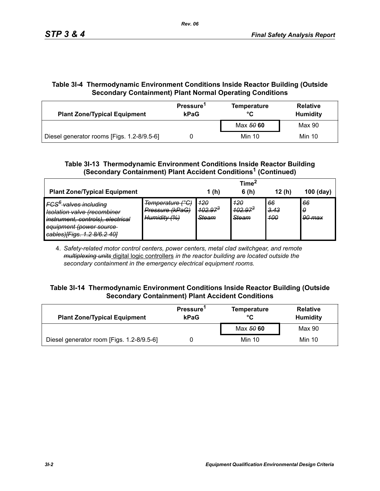# **Table 3I-4 Thermodynamic Environment Conditions Inside Reactor Building (Outside Secondary Containment) Plant Normal Operating Conditions**

| <b>Plant Zone/Typical Equipment</b>        | Pressure <sup>1</sup><br>kPaG | <b>Temperature</b><br>°C | <b>Relative</b><br><b>Humidity</b> |  |
|--------------------------------------------|-------------------------------|--------------------------|------------------------------------|--|
|                                            |                               | Max 50 60                | Max 90                             |  |
| Diesel generator rooms [Figs. 1.2-8/9.5-6] |                               | Min 10                   | Min 10                             |  |

# **Table 3I-13 Thermodynamic Environment Conditions Inside Reactor Building (Secondary Containment) Plant Accident Conditions1 (Continued)**

|                                                                                                                                                                                                           |                                                     |                                     | Time <sup>*</sup>            |                          |                   |
|-----------------------------------------------------------------------------------------------------------------------------------------------------------------------------------------------------------|-----------------------------------------------------|-------------------------------------|------------------------------|--------------------------|-------------------|
| <b>Plant Zone/Typical Equipment</b>                                                                                                                                                                       |                                                     | 1(h)                                | 6(h)                         | 12(h)                    | $100$ (day)       |
| IFCS <sup>6</sup> valves including<br>Jeolation valve (recombiner<br><del>isolation valve necomplife</del><br>instrument, controls), electrical<br>equipment (power source<br>cables)[Figs. 1.2 8/6.2 40] | Temperature (°C)<br>Pressure (kPaG)<br>Humidity (%) | 420<br>$102.97^{3}$<br><b>Steam</b> | 420<br>$402.97^{3}$<br>Steam | 66<br><u>3.43</u><br>400 | 66<br>0<br>90 max |

4. *Safety-related motor control centers, power centers, metal clad switchgear, and remote multiplexing units* digital logic controllers *in the reactor building are located outside the secondary containment in the emergency electrical equipment rooms.*

### **Table 3I-14 Thermodynamic Environment Conditions Inside Reactor Building (Outside Secondary Containment) Plant Accident Conditions**

| <b>Plant Zone/Typical Equipment</b>       | Pressure <sup>1</sup><br>kPaG | <b>Temperature</b><br>°C | <b>Relative</b><br><b>Humidity</b> |  |
|-------------------------------------------|-------------------------------|--------------------------|------------------------------------|--|
|                                           |                               | Max 50 60                | Max 90                             |  |
| Diesel generator room [Figs. 1.2-8/9.5-6] |                               | Min 10                   | Min 10                             |  |